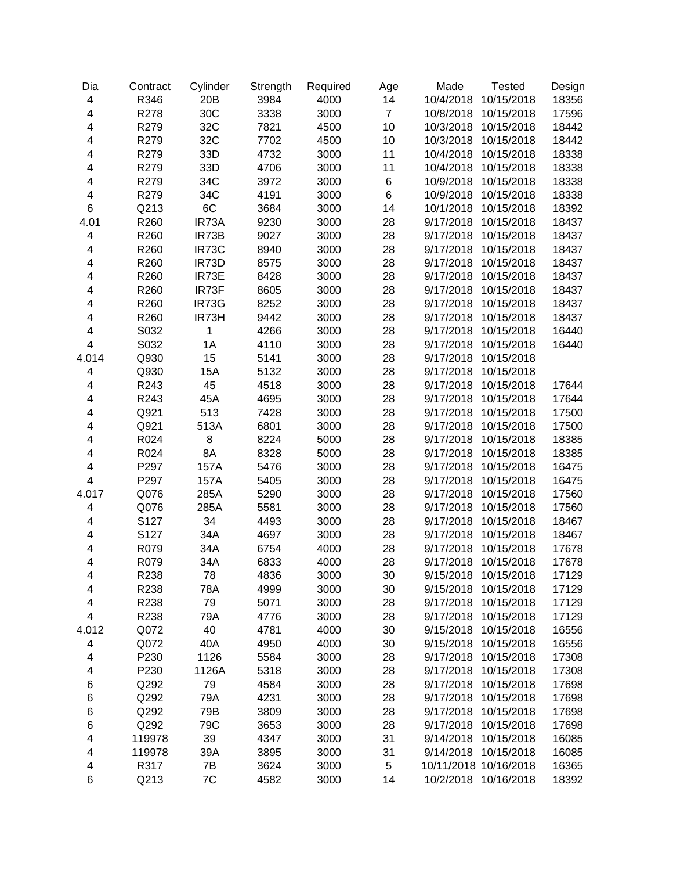| Dia                     | Contract | Cylinder | Strength | Required | Age            | Made      | <b>Tested</b>         | Design |
|-------------------------|----------|----------|----------|----------|----------------|-----------|-----------------------|--------|
| 4                       | R346     | 20B      | 3984     | 4000     | 14             | 10/4/2018 | 10/15/2018            | 18356  |
| 4                       | R278     | 30C      | 3338     | 3000     | $\overline{7}$ | 10/8/2018 | 10/15/2018            | 17596  |
| 4                       | R279     | 32C      | 7821     | 4500     | 10             | 10/3/2018 | 10/15/2018            | 18442  |
| 4                       | R279     | 32C      | 7702     | 4500     | 10             | 10/3/2018 | 10/15/2018            | 18442  |
| 4                       | R279     | 33D      | 4732     | 3000     | 11             | 10/4/2018 | 10/15/2018            | 18338  |
| 4                       | R279     | 33D      | 4706     | 3000     | 11             | 10/4/2018 | 10/15/2018            | 18338  |
| 4                       | R279     | 34C      | 3972     | 3000     | $\,6$          | 10/9/2018 | 10/15/2018            | 18338  |
| 4                       | R279     | 34C      | 4191     | 3000     | 6              | 10/9/2018 | 10/15/2018            | 18338  |
| 6                       | Q213     | 6C       | 3684     | 3000     | 14             | 10/1/2018 | 10/15/2018            | 18392  |
| 4.01                    | R260     | IR73A    | 9230     | 3000     | 28             | 9/17/2018 | 10/15/2018            | 18437  |
| 4                       | R260     | IR73B    | 9027     | 3000     | 28             | 9/17/2018 | 10/15/2018            | 18437  |
| 4                       | R260     | IR73C    | 8940     | 3000     | 28             | 9/17/2018 | 10/15/2018            | 18437  |
| 4                       | R260     | IR73D    | 8575     | 3000     | 28             | 9/17/2018 | 10/15/2018            | 18437  |
| 4                       | R260     | IR73E    | 8428     | 3000     | 28             | 9/17/2018 | 10/15/2018            | 18437  |
| 4                       | R260     | IR73F    | 8605     | 3000     | 28             | 9/17/2018 | 10/15/2018            | 18437  |
| 4                       | R260     | IR73G    | 8252     | 3000     | 28             | 9/17/2018 | 10/15/2018            | 18437  |
| 4                       | R260     | IR73H    | 9442     | 3000     | 28             | 9/17/2018 | 10/15/2018            | 18437  |
| 4                       | S032     | 1        | 4266     | 3000     | 28             | 9/17/2018 | 10/15/2018            | 16440  |
| 4                       | S032     | 1A       | 4110     | 3000     | 28             | 9/17/2018 | 10/15/2018            | 16440  |
| 4.014                   | Q930     | 15       | 5141     | 3000     | 28             | 9/17/2018 | 10/15/2018            |        |
| 4                       | Q930     | 15A      | 5132     | 3000     | 28             | 9/17/2018 | 10/15/2018            |        |
| 4                       | R243     | 45       | 4518     | 3000     | 28             | 9/17/2018 | 10/15/2018            | 17644  |
| 4                       | R243     | 45A      | 4695     | 3000     | 28             | 9/17/2018 | 10/15/2018            | 17644  |
| 4                       | Q921     | 513      | 7428     | 3000     | 28             | 9/17/2018 | 10/15/2018            | 17500  |
| 4                       | Q921     | 513A     | 6801     | 3000     | 28             | 9/17/2018 | 10/15/2018            | 17500  |
| 4                       | R024     | 8        | 8224     | 5000     | 28             | 9/17/2018 | 10/15/2018            | 18385  |
| 4                       | R024     | 8A       | 8328     | 5000     | 28             | 9/17/2018 | 10/15/2018            | 18385  |
| 4                       | P297     | 157A     | 5476     | 3000     | 28             | 9/17/2018 | 10/15/2018            | 16475  |
| 4                       | P297     | 157A     | 5405     | 3000     | 28             | 9/17/2018 | 10/15/2018            | 16475  |
| 4.017                   | Q076     | 285A     | 5290     | 3000     | 28             | 9/17/2018 | 10/15/2018            | 17560  |
| $\overline{\mathbf{4}}$ | Q076     | 285A     | 5581     | 3000     | 28             | 9/17/2018 | 10/15/2018            | 17560  |
| 4                       | S127     | 34       | 4493     | 3000     | 28             | 9/17/2018 | 10/15/2018            | 18467  |
| 4                       | S127     | 34A      | 4697     | 3000     | 28             | 9/17/2018 | 10/15/2018            | 18467  |
| 4                       | R079     | 34A      | 6754     | 4000     | 28             | 9/17/2018 | 10/15/2018            | 17678  |
| 4                       | R079     | 34A      | 6833     | 4000     | 28             | 9/17/2018 | 10/15/2018            | 17678  |
| 4                       | R238     | 78       | 4836     | 3000     | 30             | 9/15/2018 | 10/15/2018            | 17129  |
| 4                       | R238     | 78A      | 4999     | 3000     | 30             | 9/15/2018 | 10/15/2018            | 17129  |
| 4                       | R238     | 79       | 5071     | 3000     | 28             | 9/17/2018 | 10/15/2018            | 17129  |
| 4                       | R238     | 79A      | 4776     | 3000     | 28             | 9/17/2018 | 10/15/2018            | 17129  |
| 4.012                   | Q072     | 40       | 4781     | 4000     | 30             | 9/15/2018 | 10/15/2018            | 16556  |
| 4                       | Q072     | 40A      | 4950     | 4000     | 30             | 9/15/2018 | 10/15/2018            | 16556  |
| 4                       | P230     | 1126     | 5584     | 3000     | 28             | 9/17/2018 | 10/15/2018            | 17308  |
| 4                       | P230     | 1126A    | 5318     | 3000     | 28             | 9/17/2018 | 10/15/2018            | 17308  |
| 6                       | Q292     | 79       | 4584     | 3000     | 28             | 9/17/2018 | 10/15/2018            | 17698  |
| 6                       | Q292     | 79A      | 4231     | 3000     | 28             | 9/17/2018 | 10/15/2018            | 17698  |
| 6                       | Q292     | 79B      | 3809     | 3000     | 28             | 9/17/2018 | 10/15/2018            | 17698  |
| 6                       | Q292     | 79C      | 3653     | 3000     | 28             | 9/17/2018 | 10/15/2018            | 17698  |
| 4                       | 119978   | 39       | 4347     | 3000     | 31             | 9/14/2018 | 10/15/2018            | 16085  |
| 4                       | 119978   | 39A      | 3895     | 3000     | 31             | 9/14/2018 | 10/15/2018            | 16085  |
| 4                       | R317     | 7B       | 3624     | 3000     | 5              |           | 10/11/2018 10/16/2018 | 16365  |
| 6                       | Q213     | 7C       | 4582     | 3000     | 14             |           | 10/2/2018 10/16/2018  | 18392  |
|                         |          |          |          |          |                |           |                       |        |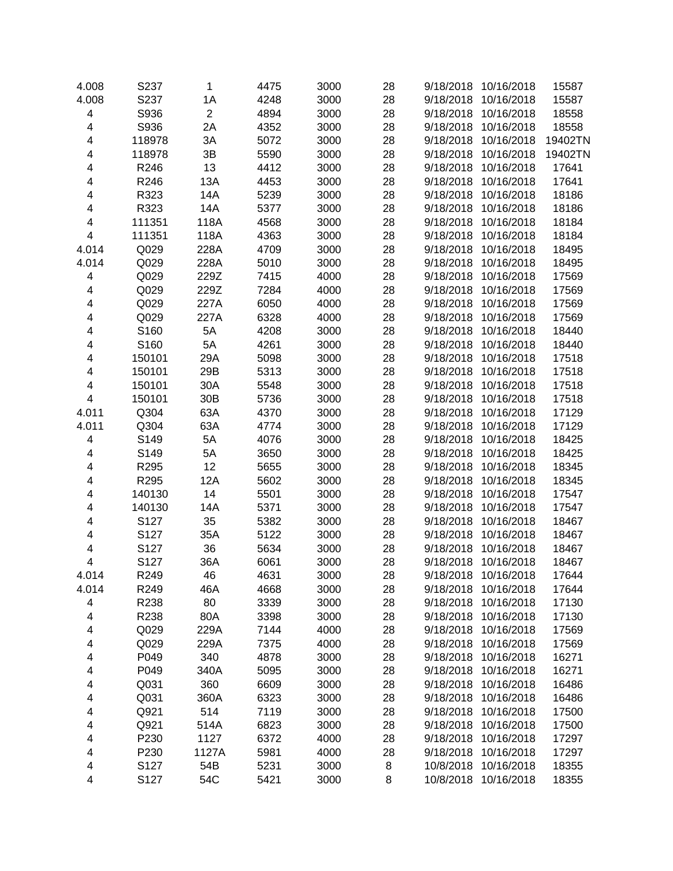| 4.008                   | S237   | $\mathbf{1}$   | 4475 | 3000 | 28 | 9/18/2018 | 10/16/2018 | 15587   |
|-------------------------|--------|----------------|------|------|----|-----------|------------|---------|
| 4.008                   | S237   | 1A             | 4248 | 3000 | 28 | 9/18/2018 | 10/16/2018 | 15587   |
| $\overline{\mathbf{4}}$ | S936   | $\overline{2}$ | 4894 | 3000 | 28 | 9/18/2018 | 10/16/2018 | 18558   |
| 4                       | S936   | 2A             | 4352 | 3000 | 28 | 9/18/2018 | 10/16/2018 | 18558   |
| 4                       | 118978 | 3A             | 5072 | 3000 | 28 | 9/18/2018 | 10/16/2018 | 19402TN |
| 4                       | 118978 | 3B             | 5590 | 3000 | 28 | 9/18/2018 | 10/16/2018 | 19402TN |
| 4                       | R246   | 13             | 4412 | 3000 | 28 | 9/18/2018 | 10/16/2018 | 17641   |
| 4                       | R246   | 13A            | 4453 | 3000 | 28 | 9/18/2018 | 10/16/2018 | 17641   |
| 4                       | R323   | 14A            | 5239 | 3000 | 28 | 9/18/2018 | 10/16/2018 | 18186   |
| 4                       | R323   | 14A            | 5377 | 3000 | 28 | 9/18/2018 | 10/16/2018 | 18186   |
| 4                       | 111351 | 118A           | 4568 | 3000 | 28 | 9/18/2018 | 10/16/2018 | 18184   |
| 4                       | 111351 | 118A           | 4363 | 3000 | 28 | 9/18/2018 | 10/16/2018 | 18184   |
| 4.014                   | Q029   | 228A           | 4709 | 3000 | 28 | 9/18/2018 | 10/16/2018 | 18495   |
| 4.014                   | Q029   | 228A           | 5010 | 3000 | 28 | 9/18/2018 | 10/16/2018 | 18495   |
| 4                       | Q029   | 229Z           | 7415 | 4000 | 28 | 9/18/2018 | 10/16/2018 | 17569   |
| 4                       | Q029   | 229Z           | 7284 | 4000 | 28 | 9/18/2018 | 10/16/2018 | 17569   |
| 4                       | Q029   | 227A           | 6050 | 4000 | 28 | 9/18/2018 | 10/16/2018 | 17569   |
| 4                       | Q029   | 227A           | 6328 | 4000 | 28 | 9/18/2018 | 10/16/2018 | 17569   |
| 4                       | S160   | 5A             | 4208 | 3000 | 28 | 9/18/2018 | 10/16/2018 | 18440   |
| 4                       | S160   | 5A             | 4261 | 3000 | 28 | 9/18/2018 | 10/16/2018 | 18440   |
| 4                       | 150101 | 29A            | 5098 | 3000 | 28 | 9/18/2018 | 10/16/2018 | 17518   |
| 4                       | 150101 | 29B            | 5313 | 3000 | 28 | 9/18/2018 | 10/16/2018 | 17518   |
| 4                       | 150101 | 30A            | 5548 | 3000 | 28 | 9/18/2018 | 10/16/2018 | 17518   |
| 4                       | 150101 | 30B            | 5736 | 3000 | 28 | 9/18/2018 | 10/16/2018 | 17518   |
| 4.011                   | Q304   | 63A            | 4370 | 3000 | 28 | 9/18/2018 | 10/16/2018 | 17129   |
| 4.011                   | Q304   | 63A            | 4774 | 3000 | 28 | 9/18/2018 | 10/16/2018 | 17129   |
| 4                       | S149   | 5A             | 4076 | 3000 | 28 | 9/18/2018 | 10/16/2018 | 18425   |
| 4                       | S149   | 5A             | 3650 | 3000 | 28 | 9/18/2018 | 10/16/2018 | 18425   |
| 4                       | R295   | 12             | 5655 | 3000 | 28 | 9/18/2018 | 10/16/2018 | 18345   |
| 4                       | R295   | 12A            | 5602 | 3000 | 28 | 9/18/2018 | 10/16/2018 | 18345   |
| 4                       | 140130 | 14             | 5501 | 3000 | 28 | 9/18/2018 | 10/16/2018 | 17547   |
| 4                       | 140130 | 14A            | 5371 | 3000 | 28 | 9/18/2018 | 10/16/2018 | 17547   |
| 4                       | S127   | 35             | 5382 | 3000 | 28 | 9/18/2018 | 10/16/2018 | 18467   |
| 4                       | S127   | 35A            | 5122 | 3000 | 28 | 9/18/2018 | 10/16/2018 | 18467   |
| 4                       | S127   | 36             | 5634 | 3000 | 28 | 9/18/2018 | 10/16/2018 | 18467   |
| 4                       | S127   | 36A            | 6061 | 3000 | 28 | 9/18/2018 | 10/16/2018 | 18467   |
| 4.014                   | R249   | 46             | 4631 | 3000 | 28 | 9/18/2018 | 10/16/2018 | 17644   |
| 4.014                   | R249   | 46A            | 4668 | 3000 | 28 | 9/18/2018 | 10/16/2018 | 17644   |
| 4                       | R238   | 80             | 3339 | 3000 | 28 | 9/18/2018 | 10/16/2018 | 17130   |
| 4                       | R238   | 80A            | 3398 | 3000 | 28 | 9/18/2018 | 10/16/2018 | 17130   |
| 4                       | Q029   | 229A           | 7144 | 4000 | 28 | 9/18/2018 | 10/16/2018 | 17569   |
| 4                       | Q029   | 229A           | 7375 | 4000 | 28 | 9/18/2018 | 10/16/2018 | 17569   |
| 4                       | P049   | 340            | 4878 | 3000 | 28 | 9/18/2018 | 10/16/2018 | 16271   |
| 4                       | P049   | 340A           | 5095 | 3000 | 28 | 9/18/2018 | 10/16/2018 | 16271   |
| 4                       | Q031   | 360            | 6609 | 3000 | 28 | 9/18/2018 | 10/16/2018 | 16486   |
| 4                       | Q031   | 360A           | 6323 | 3000 | 28 | 9/18/2018 | 10/16/2018 | 16486   |
| 4                       | Q921   | 514            | 7119 | 3000 | 28 | 9/18/2018 | 10/16/2018 | 17500   |
| 4                       | Q921   | 514A           | 6823 | 3000 | 28 | 9/18/2018 | 10/16/2018 | 17500   |
| 4                       | P230   | 1127           | 6372 | 4000 | 28 | 9/18/2018 | 10/16/2018 | 17297   |
| 4                       | P230   | 1127A          | 5981 | 4000 | 28 | 9/18/2018 | 10/16/2018 | 17297   |
| 4                       | S127   | 54B            | 5231 | 3000 | 8  | 10/8/2018 | 10/16/2018 | 18355   |
| 4                       | S127   | 54C            | 5421 | 3000 | 8  | 10/8/2018 | 10/16/2018 | 18355   |
|                         |        |                |      |      |    |           |            |         |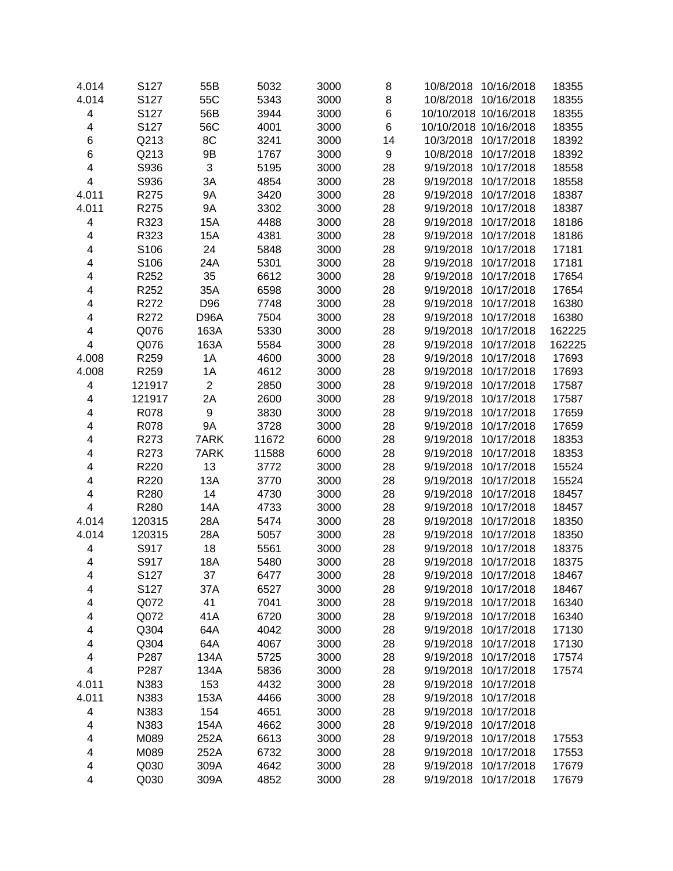| 4.014                   | S127   | 55B            | 5032  | 3000 | 8     | 10/8/2018 10/16/2018    | 18355  |
|-------------------------|--------|----------------|-------|------|-------|-------------------------|--------|
| 4.014                   | S127   | 55C            | 5343  | 3000 | 8     | 10/8/2018<br>10/16/2018 | 18355  |
| $\overline{\mathbf{4}}$ | S127   | 56B            | 3944  | 3000 | 6     | 10/10/2018 10/16/2018   | 18355  |
| $\overline{\mathbf{4}}$ | S127   | 56C            | 4001  | 3000 | $\,6$ | 10/10/2018 10/16/2018   | 18355  |
| 6                       | Q213   | 8C             | 3241  | 3000 | 14    | 10/17/2018<br>10/3/2018 | 18392  |
| 6                       | Q213   | 9B             | 1767  | 3000 | 9     | 10/17/2018<br>10/8/2018 | 18392  |
|                         |        |                |       |      |       |                         |        |
| 4                       | S936   | 3              | 5195  | 3000 | 28    | 9/19/2018<br>10/17/2018 | 18558  |
| 4                       | S936   | 3A             | 4854  | 3000 | 28    | 10/17/2018<br>9/19/2018 | 18558  |
| 4.011                   | R275   | 9A             | 3420  | 3000 | 28    | 9/19/2018<br>10/17/2018 | 18387  |
| 4.011                   | R275   | <b>9A</b>      | 3302  | 3000 | 28    | 10/17/2018<br>9/19/2018 | 18387  |
| 4                       | R323   | 15A            | 4488  | 3000 | 28    | 9/19/2018<br>10/17/2018 | 18186  |
| 4                       | R323   | 15A            | 4381  | 3000 | 28    | 9/19/2018<br>10/17/2018 | 18186  |
| 4                       | S106   | 24             | 5848  | 3000 | 28    | 10/17/2018<br>9/19/2018 | 17181  |
| 4                       | S106   | 24A            | 5301  | 3000 | 28    | 10/17/2018<br>9/19/2018 | 17181  |
| 4                       | R252   | 35             | 6612  | 3000 | 28    | 9/19/2018<br>10/17/2018 | 17654  |
| 4                       | R252   | 35A            | 6598  | 3000 | 28    | 10/17/2018<br>9/19/2018 | 17654  |
| 4                       | R272   | D96            | 7748  | 3000 | 28    | 10/17/2018<br>9/19/2018 | 16380  |
| 4                       | R272   | D96A           | 7504  | 3000 | 28    | 10/17/2018<br>9/19/2018 | 16380  |
| 4                       | Q076   | 163A           | 5330  | 3000 | 28    | 9/19/2018<br>10/17/2018 | 162225 |
| $\overline{\mathbf{4}}$ | Q076   | 163A           | 5584  | 3000 | 28    | 10/17/2018<br>9/19/2018 | 162225 |
| 4.008                   | R259   | 1A             | 4600  | 3000 | 28    | 10/17/2018<br>9/19/2018 | 17693  |
| 4.008                   | R259   | 1A             | 4612  | 3000 | 28    | 10/17/2018<br>9/19/2018 | 17693  |
| 4                       | 121917 | $\overline{2}$ | 2850  | 3000 | 28    | 9/19/2018<br>10/17/2018 | 17587  |
| 4                       | 121917 | 2A             | 2600  | 3000 | 28    | 9/19/2018<br>10/17/2018 | 17587  |
| 4                       | R078   | 9              | 3830  | 3000 | 28    | 9/19/2018<br>10/17/2018 | 17659  |
| 4                       | R078   | 9A             | 3728  | 3000 | 28    | 9/19/2018<br>10/17/2018 | 17659  |
| 4                       | R273   | 7ARK           | 11672 | 6000 | 28    | 9/19/2018<br>10/17/2018 | 18353  |
| 4                       | R273   | 7ARK           | 11588 | 6000 | 28    | 9/19/2018<br>10/17/2018 | 18353  |
| 4                       | R220   | 13             | 3772  | 3000 | 28    | 9/19/2018<br>10/17/2018 | 15524  |
| 4                       | R220   | 13A            | 3770  | 3000 | 28    | 10/17/2018<br>9/19/2018 | 15524  |
| 4                       | R280   | 14             | 4730  | 3000 | 28    | 9/19/2018<br>10/17/2018 | 18457  |
| $\overline{\mathbf{4}}$ | R280   | 14A            | 4733  | 3000 | 28    | 9/19/2018<br>10/17/2018 | 18457  |
| 4.014                   | 120315 | 28A            | 5474  | 3000 | 28    | 9/19/2018<br>10/17/2018 | 18350  |
| 4.014                   | 120315 | 28A            | 5057  | 3000 | 28    | 9/19/2018<br>10/17/2018 | 18350  |
| 4                       | S917   | 18             | 5561  | 3000 | 28    | 10/17/2018<br>9/19/2018 | 18375  |
| 4                       | S917   | 18A            | 5480  | 3000 | 28    | 10/17/2018<br>9/19/2018 | 18375  |
| 4                       | S127   | 37             | 6477  | 3000 | 28    | 9/19/2018<br>10/17/2018 | 18467  |
| 4                       | S127   | 37A            | 6527  | 3000 | 28    | 9/19/2018<br>10/17/2018 | 18467  |
| 4                       | Q072   | 41             | 7041  | 3000 | 28    | 10/17/2018<br>9/19/2018 | 16340  |
| 4                       | Q072   | 41A            | 6720  | 3000 | 28    | 9/19/2018<br>10/17/2018 | 16340  |
| 4                       | Q304   | 64A            | 4042  | 3000 | 28    | 9/19/2018<br>10/17/2018 | 17130  |
| 4                       | Q304   | 64A            | 4067  | 3000 | 28    | 9/19/2018<br>10/17/2018 | 17130  |
| 4                       | P287   | 134A           | 5725  | 3000 | 28    | 9/19/2018<br>10/17/2018 | 17574  |
| $\overline{\mathbf{4}}$ | P287   | 134A           | 5836  | 3000 | 28    | 9/19/2018<br>10/17/2018 | 17574  |
| 4.011                   | N383   | 153            | 4432  | 3000 | 28    | 9/19/2018<br>10/17/2018 |        |
| 4.011                   | N383   | 153A           | 4466  | 3000 | 28    | 9/19/2018<br>10/17/2018 |        |
| 4                       | N383   | 154            | 4651  | 3000 | 28    | 9/19/2018<br>10/17/2018 |        |
| 4                       | N383   | 154A           | 4662  | 3000 | 28    | 10/17/2018<br>9/19/2018 |        |
| 4                       | M089   | 252A           | 6613  | 3000 | 28    | 9/19/2018<br>10/17/2018 | 17553  |
| 4                       | M089   | 252A           | 6732  | 3000 | 28    | 9/19/2018<br>10/17/2018 | 17553  |
| 4                       | Q030   | 309A           | 4642  | 3000 | 28    | 9/19/2018<br>10/17/2018 | 17679  |
| 4                       | Q030   | 309A           | 4852  | 3000 | 28    | 10/17/2018<br>9/19/2018 | 17679  |
|                         |        |                |       |      |       |                         |        |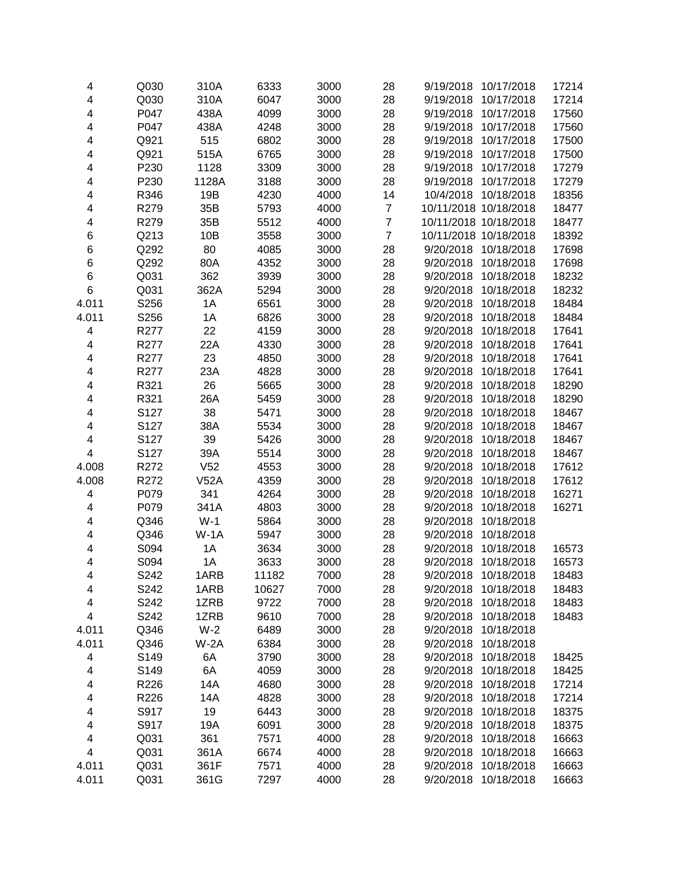|      |                                                                                                                                                                                                                                                                                                      |                                                                                                                                                                                                                                                                                        |                                                                                                                                                                                                                                                                                                                        |                                                                                                                                                                                                                                                                                                              |                                                                                                                                                                                                                                  | 17214                                                                                                                                                                                                                                                                                                                                                                                                                                                                                                                                                                                                                                                                                                                                                                                                                                                                                                                                                                         |
|------|------------------------------------------------------------------------------------------------------------------------------------------------------------------------------------------------------------------------------------------------------------------------------------------------------|----------------------------------------------------------------------------------------------------------------------------------------------------------------------------------------------------------------------------------------------------------------------------------------|------------------------------------------------------------------------------------------------------------------------------------------------------------------------------------------------------------------------------------------------------------------------------------------------------------------------|--------------------------------------------------------------------------------------------------------------------------------------------------------------------------------------------------------------------------------------------------------------------------------------------------------------|----------------------------------------------------------------------------------------------------------------------------------------------------------------------------------------------------------------------------------|-------------------------------------------------------------------------------------------------------------------------------------------------------------------------------------------------------------------------------------------------------------------------------------------------------------------------------------------------------------------------------------------------------------------------------------------------------------------------------------------------------------------------------------------------------------------------------------------------------------------------------------------------------------------------------------------------------------------------------------------------------------------------------------------------------------------------------------------------------------------------------------------------------------------------------------------------------------------------------|
|      |                                                                                                                                                                                                                                                                                                      |                                                                                                                                                                                                                                                                                        |                                                                                                                                                                                                                                                                                                                        |                                                                                                                                                                                                                                                                                                              |                                                                                                                                                                                                                                  | 17214                                                                                                                                                                                                                                                                                                                                                                                                                                                                                                                                                                                                                                                                                                                                                                                                                                                                                                                                                                         |
|      |                                                                                                                                                                                                                                                                                                      |                                                                                                                                                                                                                                                                                        |                                                                                                                                                                                                                                                                                                                        |                                                                                                                                                                                                                                                                                                              |                                                                                                                                                                                                                                  | 17560                                                                                                                                                                                                                                                                                                                                                                                                                                                                                                                                                                                                                                                                                                                                                                                                                                                                                                                                                                         |
|      |                                                                                                                                                                                                                                                                                                      |                                                                                                                                                                                                                                                                                        |                                                                                                                                                                                                                                                                                                                        |                                                                                                                                                                                                                                                                                                              |                                                                                                                                                                                                                                  | 17560                                                                                                                                                                                                                                                                                                                                                                                                                                                                                                                                                                                                                                                                                                                                                                                                                                                                                                                                                                         |
|      |                                                                                                                                                                                                                                                                                                      |                                                                                                                                                                                                                                                                                        |                                                                                                                                                                                                                                                                                                                        |                                                                                                                                                                                                                                                                                                              |                                                                                                                                                                                                                                  | 17500                                                                                                                                                                                                                                                                                                                                                                                                                                                                                                                                                                                                                                                                                                                                                                                                                                                                                                                                                                         |
|      |                                                                                                                                                                                                                                                                                                      |                                                                                                                                                                                                                                                                                        |                                                                                                                                                                                                                                                                                                                        |                                                                                                                                                                                                                                                                                                              |                                                                                                                                                                                                                                  | 17500                                                                                                                                                                                                                                                                                                                                                                                                                                                                                                                                                                                                                                                                                                                                                                                                                                                                                                                                                                         |
|      |                                                                                                                                                                                                                                                                                                      |                                                                                                                                                                                                                                                                                        |                                                                                                                                                                                                                                                                                                                        |                                                                                                                                                                                                                                                                                                              |                                                                                                                                                                                                                                  | 17279                                                                                                                                                                                                                                                                                                                                                                                                                                                                                                                                                                                                                                                                                                                                                                                                                                                                                                                                                                         |
|      | 1128A                                                                                                                                                                                                                                                                                                |                                                                                                                                                                                                                                                                                        |                                                                                                                                                                                                                                                                                                                        |                                                                                                                                                                                                                                                                                                              | 9/19/2018<br>10/17/2018                                                                                                                                                                                                          | 17279                                                                                                                                                                                                                                                                                                                                                                                                                                                                                                                                                                                                                                                                                                                                                                                                                                                                                                                                                                         |
| R346 | 19B                                                                                                                                                                                                                                                                                                  | 4230                                                                                                                                                                                                                                                                                   | 4000                                                                                                                                                                                                                                                                                                                   | 14                                                                                                                                                                                                                                                                                                           | 10/18/2018<br>10/4/2018                                                                                                                                                                                                          | 18356                                                                                                                                                                                                                                                                                                                                                                                                                                                                                                                                                                                                                                                                                                                                                                                                                                                                                                                                                                         |
| R279 | 35B                                                                                                                                                                                                                                                                                                  | 5793                                                                                                                                                                                                                                                                                   | 4000                                                                                                                                                                                                                                                                                                                   | $\boldsymbol{7}$                                                                                                                                                                                                                                                                                             | 10/11/2018 10/18/2018                                                                                                                                                                                                            | 18477                                                                                                                                                                                                                                                                                                                                                                                                                                                                                                                                                                                                                                                                                                                                                                                                                                                                                                                                                                         |
| R279 | 35B                                                                                                                                                                                                                                                                                                  | 5512                                                                                                                                                                                                                                                                                   | 4000                                                                                                                                                                                                                                                                                                                   | $\overline{7}$                                                                                                                                                                                                                                                                                               | 10/11/2018 10/18/2018                                                                                                                                                                                                            | 18477                                                                                                                                                                                                                                                                                                                                                                                                                                                                                                                                                                                                                                                                                                                                                                                                                                                                                                                                                                         |
| Q213 | 10B                                                                                                                                                                                                                                                                                                  | 3558                                                                                                                                                                                                                                                                                   | 3000                                                                                                                                                                                                                                                                                                                   | $\overline{7}$                                                                                                                                                                                                                                                                                               | 10/11/2018 10/18/2018                                                                                                                                                                                                            | 18392                                                                                                                                                                                                                                                                                                                                                                                                                                                                                                                                                                                                                                                                                                                                                                                                                                                                                                                                                                         |
| Q292 | 80                                                                                                                                                                                                                                                                                                   | 4085                                                                                                                                                                                                                                                                                   | 3000                                                                                                                                                                                                                                                                                                                   | 28                                                                                                                                                                                                                                                                                                           | 10/18/2018<br>9/20/2018                                                                                                                                                                                                          | 17698                                                                                                                                                                                                                                                                                                                                                                                                                                                                                                                                                                                                                                                                                                                                                                                                                                                                                                                                                                         |
| Q292 | 80A                                                                                                                                                                                                                                                                                                  | 4352                                                                                                                                                                                                                                                                                   | 3000                                                                                                                                                                                                                                                                                                                   | 28                                                                                                                                                                                                                                                                                                           | 9/20/2018<br>10/18/2018                                                                                                                                                                                                          | 17698                                                                                                                                                                                                                                                                                                                                                                                                                                                                                                                                                                                                                                                                                                                                                                                                                                                                                                                                                                         |
| Q031 | 362                                                                                                                                                                                                                                                                                                  | 3939                                                                                                                                                                                                                                                                                   | 3000                                                                                                                                                                                                                                                                                                                   | 28                                                                                                                                                                                                                                                                                                           | 9/20/2018<br>10/18/2018                                                                                                                                                                                                          | 18232                                                                                                                                                                                                                                                                                                                                                                                                                                                                                                                                                                                                                                                                                                                                                                                                                                                                                                                                                                         |
| Q031 | 362A                                                                                                                                                                                                                                                                                                 | 5294                                                                                                                                                                                                                                                                                   | 3000                                                                                                                                                                                                                                                                                                                   | 28                                                                                                                                                                                                                                                                                                           | 9/20/2018<br>10/18/2018                                                                                                                                                                                                          | 18232                                                                                                                                                                                                                                                                                                                                                                                                                                                                                                                                                                                                                                                                                                                                                                                                                                                                                                                                                                         |
| S256 | 1A                                                                                                                                                                                                                                                                                                   |                                                                                                                                                                                                                                                                                        | 3000                                                                                                                                                                                                                                                                                                                   | 28                                                                                                                                                                                                                                                                                                           | 10/18/2018<br>9/20/2018                                                                                                                                                                                                          | 18484                                                                                                                                                                                                                                                                                                                                                                                                                                                                                                                                                                                                                                                                                                                                                                                                                                                                                                                                                                         |
|      |                                                                                                                                                                                                                                                                                                      |                                                                                                                                                                                                                                                                                        |                                                                                                                                                                                                                                                                                                                        |                                                                                                                                                                                                                                                                                                              | 10/18/2018<br>9/20/2018                                                                                                                                                                                                          | 18484                                                                                                                                                                                                                                                                                                                                                                                                                                                                                                                                                                                                                                                                                                                                                                                                                                                                                                                                                                         |
| R277 |                                                                                                                                                                                                                                                                                                      |                                                                                                                                                                                                                                                                                        |                                                                                                                                                                                                                                                                                                                        |                                                                                                                                                                                                                                                                                                              | 9/20/2018<br>10/18/2018                                                                                                                                                                                                          | 17641                                                                                                                                                                                                                                                                                                                                                                                                                                                                                                                                                                                                                                                                                                                                                                                                                                                                                                                                                                         |
|      |                                                                                                                                                                                                                                                                                                      |                                                                                                                                                                                                                                                                                        |                                                                                                                                                                                                                                                                                                                        |                                                                                                                                                                                                                                                                                                              |                                                                                                                                                                                                                                  | 17641                                                                                                                                                                                                                                                                                                                                                                                                                                                                                                                                                                                                                                                                                                                                                                                                                                                                                                                                                                         |
|      |                                                                                                                                                                                                                                                                                                      |                                                                                                                                                                                                                                                                                        |                                                                                                                                                                                                                                                                                                                        |                                                                                                                                                                                                                                                                                                              |                                                                                                                                                                                                                                  | 17641                                                                                                                                                                                                                                                                                                                                                                                                                                                                                                                                                                                                                                                                                                                                                                                                                                                                                                                                                                         |
|      |                                                                                                                                                                                                                                                                                                      |                                                                                                                                                                                                                                                                                        |                                                                                                                                                                                                                                                                                                                        |                                                                                                                                                                                                                                                                                                              |                                                                                                                                                                                                                                  | 17641                                                                                                                                                                                                                                                                                                                                                                                                                                                                                                                                                                                                                                                                                                                                                                                                                                                                                                                                                                         |
|      |                                                                                                                                                                                                                                                                                                      |                                                                                                                                                                                                                                                                                        |                                                                                                                                                                                                                                                                                                                        |                                                                                                                                                                                                                                                                                                              |                                                                                                                                                                                                                                  | 18290                                                                                                                                                                                                                                                                                                                                                                                                                                                                                                                                                                                                                                                                                                                                                                                                                                                                                                                                                                         |
|      |                                                                                                                                                                                                                                                                                                      |                                                                                                                                                                                                                                                                                        |                                                                                                                                                                                                                                                                                                                        |                                                                                                                                                                                                                                                                                                              |                                                                                                                                                                                                                                  | 18290                                                                                                                                                                                                                                                                                                                                                                                                                                                                                                                                                                                                                                                                                                                                                                                                                                                                                                                                                                         |
|      |                                                                                                                                                                                                                                                                                                      |                                                                                                                                                                                                                                                                                        |                                                                                                                                                                                                                                                                                                                        |                                                                                                                                                                                                                                                                                                              |                                                                                                                                                                                                                                  | 18467                                                                                                                                                                                                                                                                                                                                                                                                                                                                                                                                                                                                                                                                                                                                                                                                                                                                                                                                                                         |
|      |                                                                                                                                                                                                                                                                                                      |                                                                                                                                                                                                                                                                                        |                                                                                                                                                                                                                                                                                                                        |                                                                                                                                                                                                                                                                                                              |                                                                                                                                                                                                                                  | 18467                                                                                                                                                                                                                                                                                                                                                                                                                                                                                                                                                                                                                                                                                                                                                                                                                                                                                                                                                                         |
|      |                                                                                                                                                                                                                                                                                                      |                                                                                                                                                                                                                                                                                        |                                                                                                                                                                                                                                                                                                                        |                                                                                                                                                                                                                                                                                                              |                                                                                                                                                                                                                                  | 18467                                                                                                                                                                                                                                                                                                                                                                                                                                                                                                                                                                                                                                                                                                                                                                                                                                                                                                                                                                         |
|      |                                                                                                                                                                                                                                                                                                      |                                                                                                                                                                                                                                                                                        |                                                                                                                                                                                                                                                                                                                        |                                                                                                                                                                                                                                                                                                              |                                                                                                                                                                                                                                  | 18467                                                                                                                                                                                                                                                                                                                                                                                                                                                                                                                                                                                                                                                                                                                                                                                                                                                                                                                                                                         |
|      |                                                                                                                                                                                                                                                                                                      |                                                                                                                                                                                                                                                                                        |                                                                                                                                                                                                                                                                                                                        |                                                                                                                                                                                                                                                                                                              |                                                                                                                                                                                                                                  | 17612                                                                                                                                                                                                                                                                                                                                                                                                                                                                                                                                                                                                                                                                                                                                                                                                                                                                                                                                                                         |
|      |                                                                                                                                                                                                                                                                                                      |                                                                                                                                                                                                                                                                                        |                                                                                                                                                                                                                                                                                                                        |                                                                                                                                                                                                                                                                                                              |                                                                                                                                                                                                                                  | 17612                                                                                                                                                                                                                                                                                                                                                                                                                                                                                                                                                                                                                                                                                                                                                                                                                                                                                                                                                                         |
|      |                                                                                                                                                                                                                                                                                                      |                                                                                                                                                                                                                                                                                        |                                                                                                                                                                                                                                                                                                                        |                                                                                                                                                                                                                                                                                                              |                                                                                                                                                                                                                                  | 16271                                                                                                                                                                                                                                                                                                                                                                                                                                                                                                                                                                                                                                                                                                                                                                                                                                                                                                                                                                         |
|      |                                                                                                                                                                                                                                                                                                      |                                                                                                                                                                                                                                                                                        |                                                                                                                                                                                                                                                                                                                        |                                                                                                                                                                                                                                                                                                              |                                                                                                                                                                                                                                  | 16271                                                                                                                                                                                                                                                                                                                                                                                                                                                                                                                                                                                                                                                                                                                                                                                                                                                                                                                                                                         |
|      |                                                                                                                                                                                                                                                                                                      |                                                                                                                                                                                                                                                                                        |                                                                                                                                                                                                                                                                                                                        |                                                                                                                                                                                                                                                                                                              |                                                                                                                                                                                                                                  |                                                                                                                                                                                                                                                                                                                                                                                                                                                                                                                                                                                                                                                                                                                                                                                                                                                                                                                                                                               |
|      |                                                                                                                                                                                                                                                                                                      |                                                                                                                                                                                                                                                                                        |                                                                                                                                                                                                                                                                                                                        |                                                                                                                                                                                                                                                                                                              |                                                                                                                                                                                                                                  |                                                                                                                                                                                                                                                                                                                                                                                                                                                                                                                                                                                                                                                                                                                                                                                                                                                                                                                                                                               |
|      |                                                                                                                                                                                                                                                                                                      |                                                                                                                                                                                                                                                                                        |                                                                                                                                                                                                                                                                                                                        |                                                                                                                                                                                                                                                                                                              |                                                                                                                                                                                                                                  | 16573                                                                                                                                                                                                                                                                                                                                                                                                                                                                                                                                                                                                                                                                                                                                                                                                                                                                                                                                                                         |
|      |                                                                                                                                                                                                                                                                                                      |                                                                                                                                                                                                                                                                                        |                                                                                                                                                                                                                                                                                                                        |                                                                                                                                                                                                                                                                                                              |                                                                                                                                                                                                                                  |                                                                                                                                                                                                                                                                                                                                                                                                                                                                                                                                                                                                                                                                                                                                                                                                                                                                                                                                                                               |
|      |                                                                                                                                                                                                                                                                                                      |                                                                                                                                                                                                                                                                                        |                                                                                                                                                                                                                                                                                                                        |                                                                                                                                                                                                                                                                                                              |                                                                                                                                                                                                                                  | 16573                                                                                                                                                                                                                                                                                                                                                                                                                                                                                                                                                                                                                                                                                                                                                                                                                                                                                                                                                                         |
|      |                                                                                                                                                                                                                                                                                                      |                                                                                                                                                                                                                                                                                        |                                                                                                                                                                                                                                                                                                                        |                                                                                                                                                                                                                                                                                                              |                                                                                                                                                                                                                                  | 18483                                                                                                                                                                                                                                                                                                                                                                                                                                                                                                                                                                                                                                                                                                                                                                                                                                                                                                                                                                         |
|      |                                                                                                                                                                                                                                                                                                      |                                                                                                                                                                                                                                                                                        |                                                                                                                                                                                                                                                                                                                        |                                                                                                                                                                                                                                                                                                              |                                                                                                                                                                                                                                  | 18483                                                                                                                                                                                                                                                                                                                                                                                                                                                                                                                                                                                                                                                                                                                                                                                                                                                                                                                                                                         |
|      |                                                                                                                                                                                                                                                                                                      |                                                                                                                                                                                                                                                                                        |                                                                                                                                                                                                                                                                                                                        |                                                                                                                                                                                                                                                                                                              |                                                                                                                                                                                                                                  | 18483                                                                                                                                                                                                                                                                                                                                                                                                                                                                                                                                                                                                                                                                                                                                                                                                                                                                                                                                                                         |
|      |                                                                                                                                                                                                                                                                                                      |                                                                                                                                                                                                                                                                                        |                                                                                                                                                                                                                                                                                                                        |                                                                                                                                                                                                                                                                                                              |                                                                                                                                                                                                                                  | 18483                                                                                                                                                                                                                                                                                                                                                                                                                                                                                                                                                                                                                                                                                                                                                                                                                                                                                                                                                                         |
|      |                                                                                                                                                                                                                                                                                                      |                                                                                                                                                                                                                                                                                        |                                                                                                                                                                                                                                                                                                                        |                                                                                                                                                                                                                                                                                                              |                                                                                                                                                                                                                                  |                                                                                                                                                                                                                                                                                                                                                                                                                                                                                                                                                                                                                                                                                                                                                                                                                                                                                                                                                                               |
|      |                                                                                                                                                                                                                                                                                                      |                                                                                                                                                                                                                                                                                        |                                                                                                                                                                                                                                                                                                                        |                                                                                                                                                                                                                                                                                                              |                                                                                                                                                                                                                                  |                                                                                                                                                                                                                                                                                                                                                                                                                                                                                                                                                                                                                                                                                                                                                                                                                                                                                                                                                                               |
|      |                                                                                                                                                                                                                                                                                                      |                                                                                                                                                                                                                                                                                        |                                                                                                                                                                                                                                                                                                                        |                                                                                                                                                                                                                                                                                                              |                                                                                                                                                                                                                                  | 18425                                                                                                                                                                                                                                                                                                                                                                                                                                                                                                                                                                                                                                                                                                                                                                                                                                                                                                                                                                         |
|      |                                                                                                                                                                                                                                                                                                      |                                                                                                                                                                                                                                                                                        |                                                                                                                                                                                                                                                                                                                        |                                                                                                                                                                                                                                                                                                              |                                                                                                                                                                                                                                  | 18425                                                                                                                                                                                                                                                                                                                                                                                                                                                                                                                                                                                                                                                                                                                                                                                                                                                                                                                                                                         |
|      |                                                                                                                                                                                                                                                                                                      |                                                                                                                                                                                                                                                                                        |                                                                                                                                                                                                                                                                                                                        |                                                                                                                                                                                                                                                                                                              |                                                                                                                                                                                                                                  | 17214                                                                                                                                                                                                                                                                                                                                                                                                                                                                                                                                                                                                                                                                                                                                                                                                                                                                                                                                                                         |
|      |                                                                                                                                                                                                                                                                                                      |                                                                                                                                                                                                                                                                                        |                                                                                                                                                                                                                                                                                                                        |                                                                                                                                                                                                                                                                                                              |                                                                                                                                                                                                                                  | 17214                                                                                                                                                                                                                                                                                                                                                                                                                                                                                                                                                                                                                                                                                                                                                                                                                                                                                                                                                                         |
|      |                                                                                                                                                                                                                                                                                                      |                                                                                                                                                                                                                                                                                        |                                                                                                                                                                                                                                                                                                                        |                                                                                                                                                                                                                                                                                                              |                                                                                                                                                                                                                                  | 18375                                                                                                                                                                                                                                                                                                                                                                                                                                                                                                                                                                                                                                                                                                                                                                                                                                                                                                                                                                         |
| S917 | 19A                                                                                                                                                                                                                                                                                                  | 6091                                                                                                                                                                                                                                                                                   | 3000                                                                                                                                                                                                                                                                                                                   | 28                                                                                                                                                                                                                                                                                                           | 9/20/2018<br>10/18/2018                                                                                                                                                                                                          | 18375                                                                                                                                                                                                                                                                                                                                                                                                                                                                                                                                                                                                                                                                                                                                                                                                                                                                                                                                                                         |
| Q031 | 361                                                                                                                                                                                                                                                                                                  | 7571                                                                                                                                                                                                                                                                                   | 4000                                                                                                                                                                                                                                                                                                                   | 28                                                                                                                                                                                                                                                                                                           | 9/20/2018<br>10/18/2018                                                                                                                                                                                                          | 16663                                                                                                                                                                                                                                                                                                                                                                                                                                                                                                                                                                                                                                                                                                                                                                                                                                                                                                                                                                         |
| Q031 | 361A                                                                                                                                                                                                                                                                                                 | 6674                                                                                                                                                                                                                                                                                   | 4000                                                                                                                                                                                                                                                                                                                   | 28                                                                                                                                                                                                                                                                                                           | 10/18/2018<br>9/20/2018                                                                                                                                                                                                          | 16663                                                                                                                                                                                                                                                                                                                                                                                                                                                                                                                                                                                                                                                                                                                                                                                                                                                                                                                                                                         |
| Q031 | 361F                                                                                                                                                                                                                                                                                                 | 7571                                                                                                                                                                                                                                                                                   | 4000                                                                                                                                                                                                                                                                                                                   | 28                                                                                                                                                                                                                                                                                                           | 9/20/2018<br>10/18/2018                                                                                                                                                                                                          | 16663                                                                                                                                                                                                                                                                                                                                                                                                                                                                                                                                                                                                                                                                                                                                                                                                                                                                                                                                                                         |
| Q031 | 361G                                                                                                                                                                                                                                                                                                 | 7297                                                                                                                                                                                                                                                                                   | 4000                                                                                                                                                                                                                                                                                                                   | 28                                                                                                                                                                                                                                                                                                           | 10/18/2018<br>9/20/2018                                                                                                                                                                                                          | 16663                                                                                                                                                                                                                                                                                                                                                                                                                                                                                                                                                                                                                                                                                                                                                                                                                                                                                                                                                                         |
|      | Q030<br>Q030<br>P047<br>P047<br>Q921<br>Q921<br>P230<br>P230<br>S256<br>R277<br>R277<br>R277<br>R321<br>R321<br>S127<br>S127<br>S127<br>S127<br>R272<br>R272<br>P079<br>P079<br>Q346<br>Q346<br>S094<br>S094<br>S242<br>S242<br>S242<br>S242<br>Q346<br>Q346<br>S149<br>S149<br>R226<br>R226<br>S917 | 310A<br>310A<br>438A<br>438A<br>515<br>515A<br>1128<br>1A<br>22<br>22A<br>23<br>23A<br>26<br>26A<br>38<br>38A<br>39<br>39A<br>V <sub>52</sub><br>V52A<br>341<br>341A<br>$W-1$<br>$W-1A$<br>1A<br>1A<br>1ARB<br>1ARB<br>1ZRB<br>1ZRB<br>$W-2$<br>$W-2A$<br>6A<br>6A<br>14A<br>14A<br>19 | 6333<br>6047<br>4099<br>4248<br>6802<br>6765<br>3309<br>3188<br>6561<br>6826<br>4159<br>4330<br>4850<br>4828<br>5665<br>5459<br>5471<br>5534<br>5426<br>5514<br>4553<br>4359<br>4264<br>4803<br>5864<br>5947<br>3634<br>3633<br>11182<br>10627<br>9722<br>9610<br>6489<br>6384<br>3790<br>4059<br>4680<br>4828<br>6443 | 3000<br>3000<br>3000<br>3000<br>3000<br>3000<br>3000<br>3000<br>3000<br>3000<br>3000<br>3000<br>3000<br>3000<br>3000<br>3000<br>3000<br>3000<br>3000<br>3000<br>3000<br>3000<br>3000<br>3000<br>3000<br>3000<br>3000<br>7000<br>7000<br>7000<br>7000<br>3000<br>3000<br>3000<br>3000<br>3000<br>3000<br>3000 | 28<br>28<br>28<br>28<br>28<br>28<br>28<br>28<br>28<br>28<br>28<br>28<br>28<br>28<br>28<br>28<br>28<br>28<br>28<br>28<br>28<br>28<br>28<br>28<br>28<br>28<br>28<br>28<br>28<br>28<br>28<br>28<br>28<br>28<br>28<br>28<br>28<br>28 | 9/19/2018<br>10/17/2018<br>9/19/2018<br>10/17/2018<br>10/17/2018<br>9/19/2018<br>9/19/2018<br>10/17/2018<br>9/19/2018<br>10/17/2018<br>9/19/2018<br>10/17/2018<br>9/19/2018<br>10/17/2018<br>10/18/2018<br>9/20/2018<br>9/20/2018<br>10/18/2018<br>9/20/2018<br>10/18/2018<br>9/20/2018<br>10/18/2018<br>9/20/2018<br>10/18/2018<br>9/20/2018<br>10/18/2018<br>9/20/2018<br>10/18/2018<br>9/20/2018<br>10/18/2018<br>9/20/2018<br>10/18/2018<br>9/20/2018<br>10/18/2018<br>9/20/2018<br>10/18/2018<br>9/20/2018<br>10/18/2018<br>9/20/2018<br>10/18/2018<br>9/20/2018<br>10/18/2018<br>9/20/2018<br>10/18/2018<br>10/18/2018<br>9/20/2018<br>9/20/2018<br>10/18/2018<br>9/20/2018<br>10/18/2018<br>9/20/2018<br>10/18/2018<br>9/20/2018<br>10/18/2018<br>9/20/2018<br>10/18/2018<br>9/20/2018<br>10/18/2018<br>9/20/2018<br>10/18/2018<br>9/20/2018<br>10/18/2018<br>9/20/2018<br>10/18/2018<br>9/20/2018<br>10/18/2018<br>9/20/2018<br>10/18/2018<br>9/20/2018<br>10/18/2018 |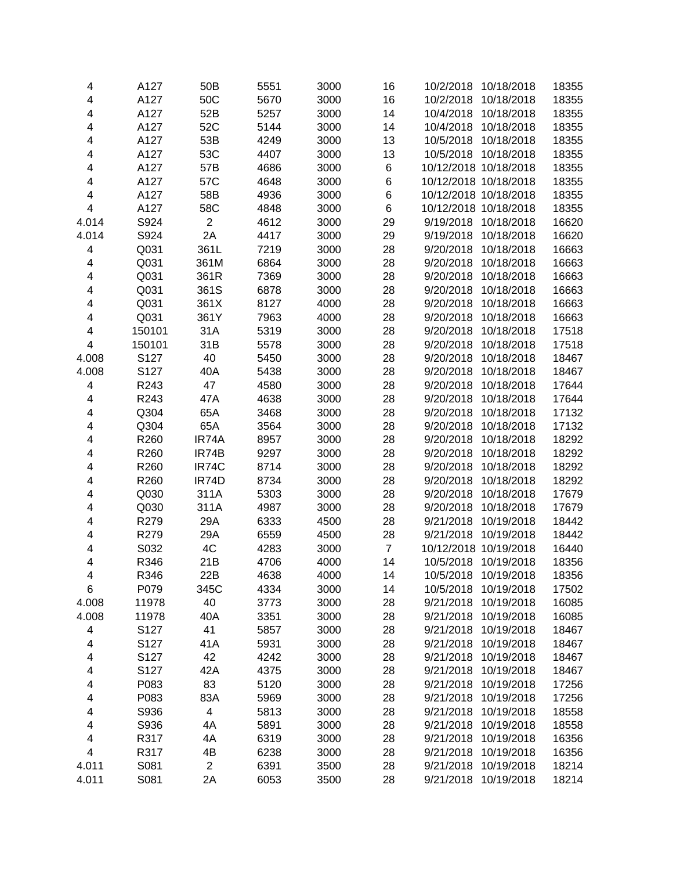| 4                       | A127   | 50B            | 5551 | 3000 | 16             | 10/2/2018<br>10/18/2018 | 18355          |
|-------------------------|--------|----------------|------|------|----------------|-------------------------|----------------|
| 4                       | A127   | 50C            | 5670 | 3000 | 16             | 10/18/2018<br>10/2/2018 | 18355          |
| 4                       | A127   | 52B            | 5257 | 3000 | 14             | 10/18/2018<br>10/4/2018 | 18355          |
| 4                       | A127   | 52C            | 5144 | 3000 | 14             | 10/4/2018<br>10/18/2018 | 18355          |
| 4                       | A127   | 53B            | 4249 | 3000 | 13             | 10/18/2018<br>10/5/2018 | 18355          |
| 4                       | A127   | 53C            | 4407 | 3000 | 13             | 10/5/2018<br>10/18/2018 | 18355          |
| 4                       | A127   | 57B            | 4686 | 3000 | 6              | 10/12/2018 10/18/2018   | 18355          |
| 4                       | A127   | 57C            | 4648 | 3000 | 6              | 10/12/2018 10/18/2018   | 18355          |
| 4                       | A127   | 58B            | 4936 | 3000 | 6              | 10/12/2018 10/18/2018   | 18355          |
| 4                       | A127   | 58C            | 4848 | 3000 | 6              | 10/12/2018 10/18/2018   | 18355          |
| 4.014                   | S924   | $\overline{2}$ | 4612 | 3000 | 29             | 9/19/2018 10/18/2018    | 16620          |
| 4.014                   | S924   | 2A             | 4417 | 3000 | 29             | 9/19/2018<br>10/18/2018 | 16620          |
| 4                       | Q031   | 361L           | 7219 | 3000 | 28             | 10/18/2018<br>9/20/2018 | 16663          |
| 4                       | Q031   | 361M           | 6864 | 3000 | 28             | 9/20/2018<br>10/18/2018 | 16663          |
| 4                       | Q031   | 361R           | 7369 | 3000 | 28             | 9/20/2018<br>10/18/2018 | 16663          |
| 4                       | Q031   | 361S           | 6878 | 3000 | 28             | 9/20/2018<br>10/18/2018 | 16663          |
| 4                       | Q031   | 361X           | 8127 | 4000 | 28             | 9/20/2018<br>10/18/2018 | 16663          |
| 4                       | Q031   | 361Y           | 7963 | 4000 | 28             | 10/18/2018<br>9/20/2018 | 16663          |
| 4                       | 150101 | 31A            | 5319 | 3000 | 28             | 9/20/2018<br>10/18/2018 | 17518          |
| $\overline{\mathbf{4}}$ | 150101 | 31B            | 5578 | 3000 | 28             | 10/18/2018<br>9/20/2018 | 17518          |
| 4.008                   | S127   | 40             | 5450 | 3000 | 28             | 9/20/2018<br>10/18/2018 | 18467          |
| 4.008                   | S127   | 40A            | 5438 | 3000 | 28             | 9/20/2018<br>10/18/2018 | 18467          |
| 4                       | R243   | 47             | 4580 | 3000 | 28             | 9/20/2018<br>10/18/2018 | 17644          |
| 4                       | R243   | 47A            | 4638 | 3000 | 28             | 9/20/2018<br>10/18/2018 | 17644          |
| 4                       | Q304   | 65A            | 3468 | 3000 | 28             | 9/20/2018<br>10/18/2018 | 17132          |
| 4                       | Q304   | 65A            | 3564 | 3000 | 28             | 9/20/2018<br>10/18/2018 | 17132          |
| 4                       | R260   | IR74A          | 8957 | 3000 | 28             | 9/20/2018<br>10/18/2018 | 18292          |
| 4                       | R260   | IR74B          | 9297 | 3000 | 28             | 9/20/2018<br>10/18/2018 | 18292          |
| 4                       | R260   | IR74C          | 8714 | 3000 | 28             | 9/20/2018<br>10/18/2018 | 18292          |
| 4                       | R260   | IR74D          | 8734 | 3000 | 28             | 10/18/2018<br>9/20/2018 | 18292          |
| 4                       | Q030   | 311A           | 5303 | 3000 | 28             | 9/20/2018<br>10/18/2018 | 17679          |
| 4                       | Q030   | 311A           | 4987 | 3000 | 28             | 9/20/2018<br>10/18/2018 | 17679          |
| 4                       | R279   | 29A            | 6333 | 4500 | 28             | 9/21/2018<br>10/19/2018 | 18442          |
| 4                       | R279   | 29A            | 6559 | 4500 | 28             | 9/21/2018<br>10/19/2018 | 18442          |
| 4                       | S032   | 4C             | 4283 | 3000 | $\overline{7}$ | 10/12/2018 10/19/2018   | 16440          |
| 4                       | R346   | 21B            | 4706 | 4000 | 14             | 10/5/2018 10/19/2018    | 18356          |
| 4                       | R346   | 22B            | 4638 | 4000 | 14             | 10/5/2018<br>10/19/2018 |                |
| 6                       | P079   | 345C           | 4334 | 3000 | 14             | 10/5/2018<br>10/19/2018 | 18356<br>17502 |
| 4.008                   | 11978  | 40             | 3773 | 3000 | 28             | 9/21/2018<br>10/19/2018 | 16085          |
| 4.008                   | 11978  | 40A            | 3351 | 3000 | 28             | 9/21/2018<br>10/19/2018 | 16085          |
| 4                       | S127   | 41             | 5857 | 3000 | 28             | 9/21/2018<br>10/19/2018 | 18467          |
|                         | S127   |                |      | 3000 | 28             |                         | 18467          |
| 4                       |        | 41A            | 5931 |      |                | 9/21/2018<br>10/19/2018 |                |
| 4                       | S127   | 42             | 4242 | 3000 | 28             | 9/21/2018<br>10/19/2018 | 18467          |
| 4                       | S127   | 42A            | 4375 | 3000 | 28             | 9/21/2018<br>10/19/2018 | 18467          |
| 4                       | P083   | 83             | 5120 | 3000 | 28             | 9/21/2018<br>10/19/2018 | 17256          |
| 4                       | P083   | 83A            | 5969 | 3000 | 28             | 9/21/2018<br>10/19/2018 | 17256          |
| 4                       | S936   | 4              | 5813 | 3000 | 28             | 9/21/2018<br>10/19/2018 | 18558          |
| 4                       | S936   | 4A             | 5891 | 3000 | 28             | 9/21/2018<br>10/19/2018 | 18558          |
| 4                       | R317   | 4A             | 6319 | 3000 | 28             | 9/21/2018<br>10/19/2018 | 16356          |
| 4                       | R317   | 4B             | 6238 | 3000 | 28             | 10/19/2018<br>9/21/2018 | 16356          |
| 4.011                   | S081   | $\overline{c}$ | 6391 | 3500 | 28             | 9/21/2018<br>10/19/2018 | 18214          |
| 4.011                   | S081   | 2A             | 6053 | 3500 | 28             | 9/21/2018<br>10/19/2018 | 18214          |